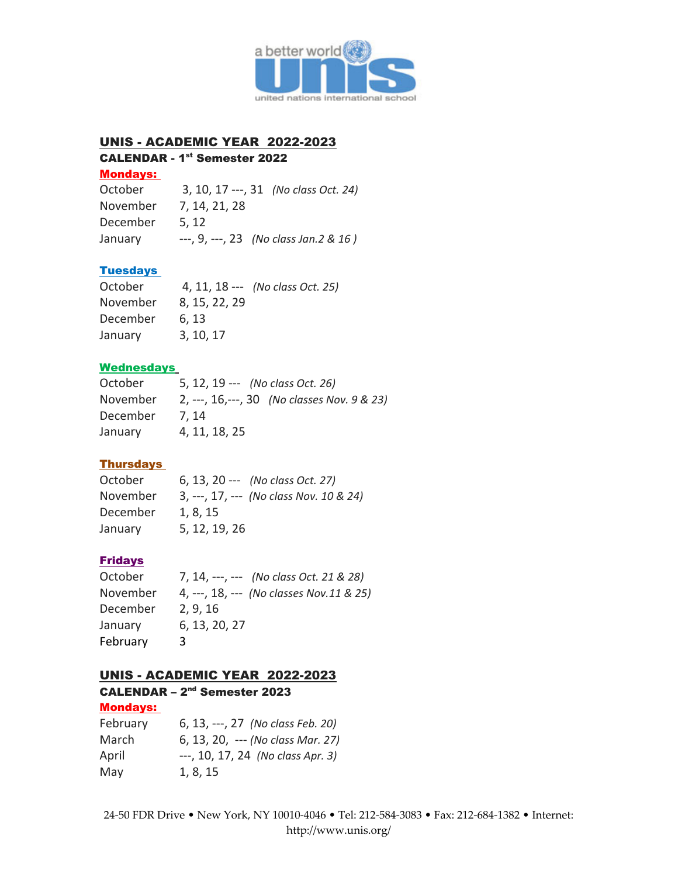

# UNIS - ACADEMIC YEAR 2022-2023

### CALENDAR - 1<sup>st</sup> Semester 2022

### Mondays:

| October  | 3, 10, 17 ---, 31 (No class Oct. 24)    |
|----------|-----------------------------------------|
| November | 7, 14, 21, 28                           |
| December | 5.12                                    |
| January  | $-$ , 9, $-$ , 23 (No class Jan.2 & 16) |

## **Tuesdays**

| October  |               | 4, 11, 18 --- (No class Oct. 25) |
|----------|---------------|----------------------------------|
| November | 8, 15, 22, 29 |                                  |
| December | 6.13          |                                  |
| January  | 3, 10, 17     |                                  |

### **Wednesdays**

| October  | 5, 12, 19 --- (No class Oct. 26)             |
|----------|----------------------------------------------|
| November | 2, ---, 16, ---, 30 (No classes Nov. 9 & 23) |
| December | 7.14                                         |
| January  | 4, 11, 18, 25                                |

# **Thursdays**

| October  | 6, 13, 20 --- (No class Oct. 27)        |
|----------|-----------------------------------------|
| November | 3, ---, 17, --- (No class Nov. 10 & 24) |
| December | 1.8.15                                  |
| January  | 5, 12, 19, 26                           |

### Fridays

| October  | 7, 14, ---, --- (No class Oct. 21 & 28)  |
|----------|------------------------------------------|
| November | 4, ---, 18, --- (No classes Nov.11 & 25) |
| December | 2, 9, 16                                 |
| January  | 6, 13, 20, 27                            |
| February | 3                                        |

# UNIS - ACADEMIC YEAR 2022-2023

#### CALENDAR – 2nd Semester 2023 Mondays:

| 6, 13, ---, 27 (No class Feb. 20) |
|-----------------------------------|
| 6, 13, 20, --- (No class Mar. 27) |
| ---, 10, 17, 24 (No class Apr. 3) |
| 1, 8, 15                          |
|                                   |